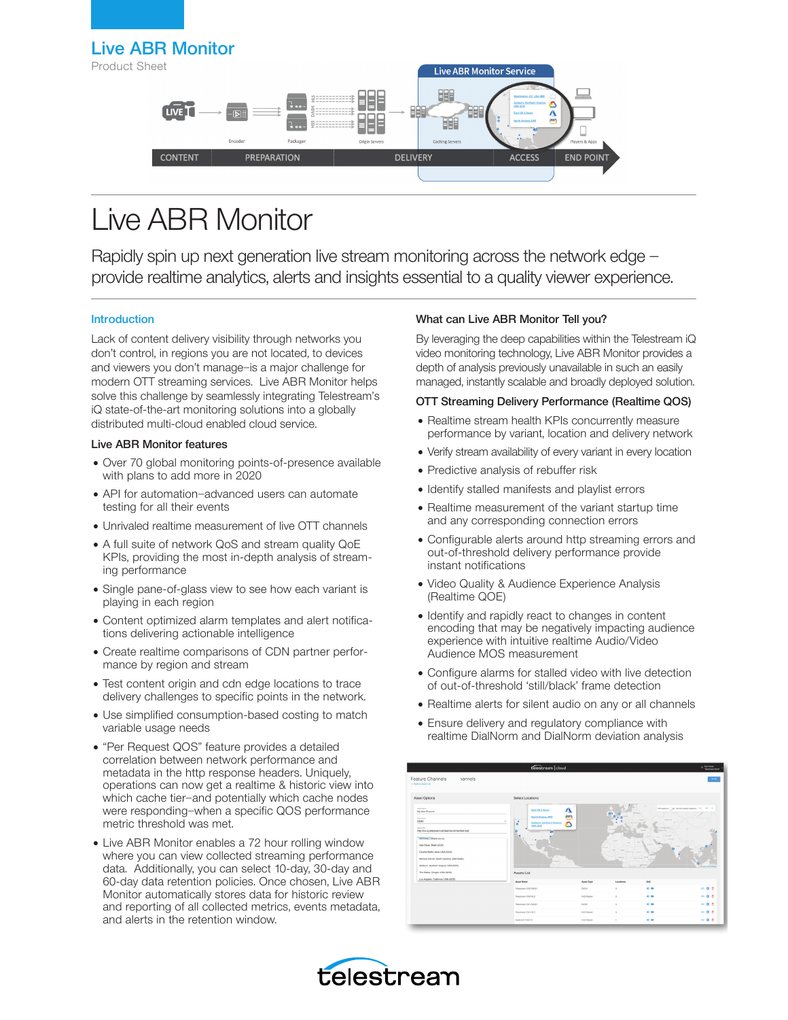## Live ABR Monitor

Product Sheet



# Live ABR Monitor

Rapidly spin up next generation live stream monitoring across the network edge provide realtime analytics, alerts and insights essential to a quality viewer experience.

## Introduction

Lack of content delivery visibility through networks you don't control, in regions you are not located, to devices and viewers you don't manage—is a major challenge for modern OTT streaming services. Live ABR Monitor helps solve this challenge by seamlessly integrating Telestream's iQ state-of-the-art monitoring solutions into a globally distributed multi-cloud enabled cloud service.

## Live ABR Monitor features

- Over 70 global monitoring points-of-presence available with plans to add more in 2020
- API for automation—advanced users can automate testing for all their events
- Unrivaled realtime measurement of live OTT channels
- A full suite of network QoS and stream quality QoE KPIs, providing the most in-depth analysis of streaming performance
- Single pane-of-glass view to see how each variant is playing in each region
- Content optimized alarm templates and alert notifications delivering actionable intelligence
- Create realtime comparisons of CDN partner performance by region and stream
- Test content origin and cdn edge locations to trace delivery challenges to specific points in the network.
- Use simplified consumption-based costing to match variable usage needs
- "Per Request QOS" feature provides a detailed correlation between network performance and metadata in the http response headers. Uniquely, operations can now get a realtime & historic view into which cache tier—and potentially which cache nodes were responding—when a specific QOS performance metric threshold was met.
- Live ABR Monitor enables a 72 hour rolling window where you can view collected streaming performance data. Additionally, you can select 10-day, 30-day and 60-day data retention policies. Once chosen, Live ABR Monitor automatically stores data for historic review and reporting of all collected metrics, events metadata, and alerts in the retention window.

## What can Live ABR Monitor Tell you?

By leveraging the deep capabilities within the Telestream iQ video monitoring technology, Live ABR Monitor provides a depth of analysis previously unavailable in such an easily managed, instantly scalable and broadly deployed solution.

### OTT Streaming Delivery Performance (Realtime QOS)

- Realtime stream health KPIs concurrently measure performance by variant, location and delivery network
- Verify stream availability of every variant in every location
- Predictive analysis of rebuffer risk
- Identify stalled manifests and playlist errors
- Realtime measurement of the variant startup time and any corresponding connection errors
- Configurable alerts around http streaming errors and out-of-threshold delivery performance provide instant notifications
- Video Quality & Audience Experience Analysis (Realtime QOE)
- Identify and rapidly react to changes in content encoding that may be negatively impacting audience experience with intuitive realtime Audio/Video Audience MOS measurement
- Configure alarms for stalled video with live detection of out-of-threshold 'still/black' frame detection
- Realtime alerts for silent audio on any or all channels
- Ensure delivery and regulatory compliance with realtime DialNorm and DialNorm deviation analysis